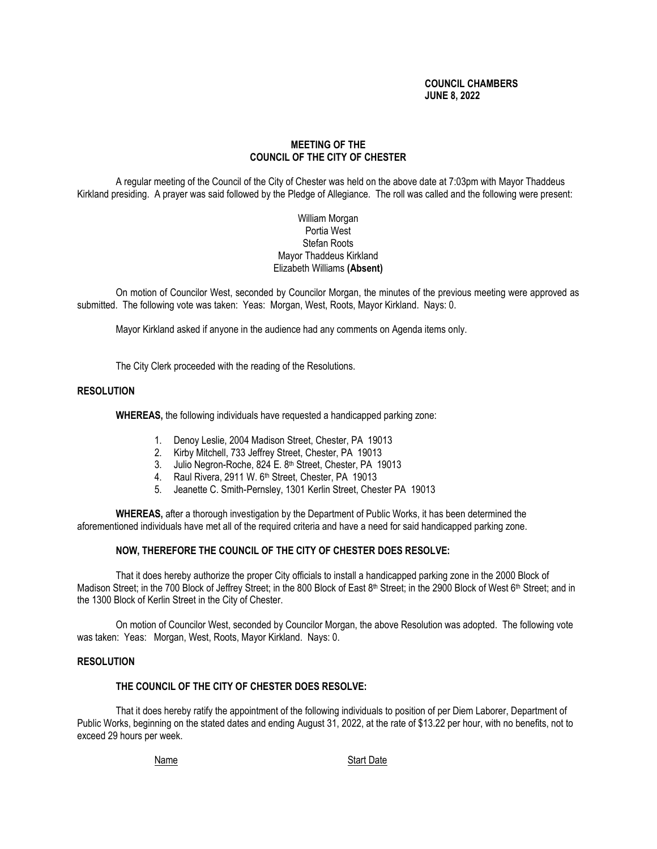## **COUNCIL CHAMBERS JUNE 8, 2022**

## **MEETING OF THE COUNCIL OF THE CITY OF CHESTER**

A regular meeting of the Council of the City of Chester was held on the above date at 7:03pm with Mayor Thaddeus Kirkland presiding. A prayer was said followed by the Pledge of Allegiance. The roll was called and the following were present:

## William Morgan Portia West Stefan Roots Mayor Thaddeus Kirkland Elizabeth Williams **(Absent)**

On motion of Councilor West, seconded by Councilor Morgan, the minutes of the previous meeting were approved as submitted. The following vote was taken: Yeas: Morgan, West, Roots, Mayor Kirkland. Nays: 0.

Mayor Kirkland asked if anyone in the audience had any comments on Agenda items only.

The City Clerk proceeded with the reading of the Resolutions.

### **RESOLUTION**

**WHEREAS,** the following individuals have requested a handicapped parking zone:

- 1. Denoy Leslie, 2004 Madison Street, Chester, PA 19013
- 2. Kirby Mitchell, 733 Jeffrey Street, Chester, PA 19013
- 3. Julio Negron-Roche, 824 E. 8th Street, Chester, PA 19013
- 4. Raul Rivera, 2911 W. 6<sup>th</sup> Street, Chester, PA 19013
- 5. Jeanette C. Smith-Pernsley, 1301 Kerlin Street, Chester PA 19013

**WHEREAS,** after a thorough investigation by the Department of Public Works, it has been determined the aforementioned individuals have met all of the required criteria and have a need for said handicapped parking zone.

### **NOW, THEREFORE THE COUNCIL OF THE CITY OF CHESTER DOES RESOLVE:**

That it does hereby authorize the proper City officials to install a handicapped parking zone in the 2000 Block of Madison Street; in the 700 Block of Jeffrey Street; in the 800 Block of East 8<sup>th</sup> Street; in the 2900 Block of West 6<sup>th</sup> Street; and in the 1300 Block of Kerlin Street in the City of Chester.

On motion of Councilor West, seconded by Councilor Morgan, the above Resolution was adopted. The following vote was taken: Yeas: Morgan, West, Roots, Mayor Kirkland. Nays: 0.

### **RESOLUTION**

### **THE COUNCIL OF THE CITY OF CHESTER DOES RESOLVE:**

That it does hereby ratify the appointment of the following individuals to position of per Diem Laborer, Department of Public Works, beginning on the stated dates and ending August 31, 2022, at the rate of \$13.22 per hour, with no benefits, not to exceed 29 hours per week.

Name Start Date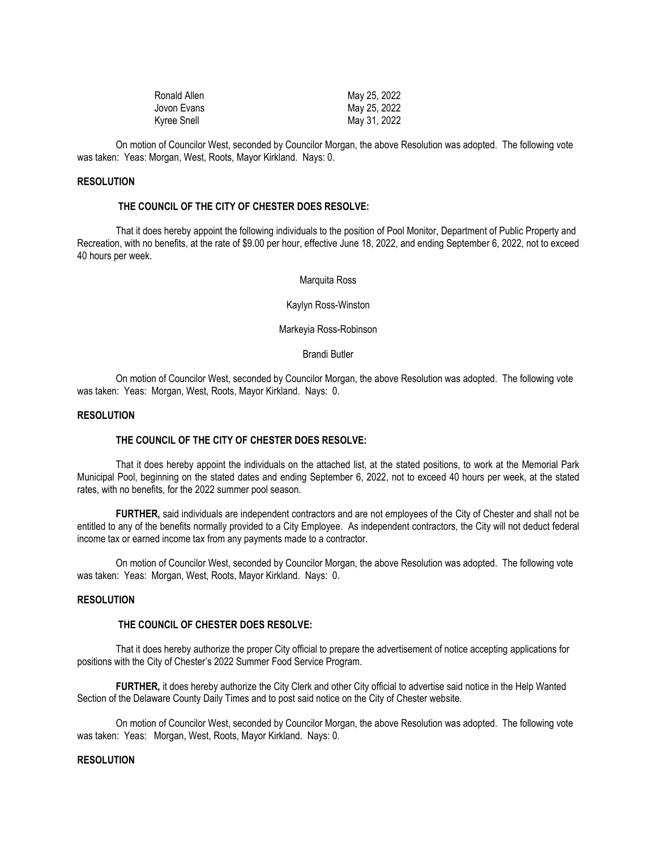| Ronald Allen | May 25, 2022 |
|--------------|--------------|
| Jovon Evans  | May 25, 2022 |
| Kyree Snell  | May 31, 2022 |

On motion of Councilor West, seconded by Councilor Morgan, the above Resolution was adopted. The following vote was taken: Yeas: Morgan, West, Roots, Mayor Kirkland. Nays: 0.

### **RESOLUTION**

### **THE COUNCIL OF THE CITY OF CHESTER DOES RESOLVE:**

That it does hereby appoint the following individuals to the position of Pool Monitor, Department of Public Property and Recreation, with no benefits, at the rate of \$9.00 per hour, effective June 18, 2022, and ending September 6, 2022, not to exceed 40 hours per week.

Marquita Ross

Kaylyn Ross-Winston

Markeyia Ross-Robinson

#### Brandi Butler

On motion of Councilor West, seconded by Councilor Morgan, the above Resolution was adopted. The following vote was taken: Yeas: Morgan, West, Roots, Mayor Kirkland. Nays: 0.

### **RESOLUTION**

#### **THE COUNCIL OF THE CITY OF CHESTER DOES RESOLVE:**

That it does hereby appoint the individuals on the attached list, at the stated positions, to work at the Memorial Park Municipal Pool, beginning on the stated dates and ending September 6, 2022, not to exceed 40 hours per week, at the stated rates, with no benefits, for the 2022 summer pool season.

**FURTHER,** said individuals are independent contractors and are not employees of the City of Chester and shall not be entitled to any of the benefits normally provided to a City Employee. As independent contractors, the City will not deduct federal income tax or earned income tax from any payments made to a contractor.

On motion of Councilor West, seconded by Councilor Morgan, the above Resolution was adopted. The following vote was taken: Yeas: Morgan, West, Roots, Mayor Kirkland. Nays: 0.

### **RESOLUTION**

## **THE COUNCIL OF CHESTER DOES RESOLVE:**

That it does hereby authorize the proper City official to prepare the advertisement of notice accepting applications for positions with the City of Chester's 2022 Summer Food Service Program.

**FURTHER,** it does hereby authorize the City Clerk and other City official to advertise said notice in the Help Wanted Section of the Delaware County Daily Times and to post said notice on the City of Chester website.

On motion of Councilor West, seconded by Councilor Morgan, the above Resolution was adopted. The following vote was taken: Yeas: Morgan, West, Roots, Mayor Kirkland. Nays: 0.

## **RESOLUTION**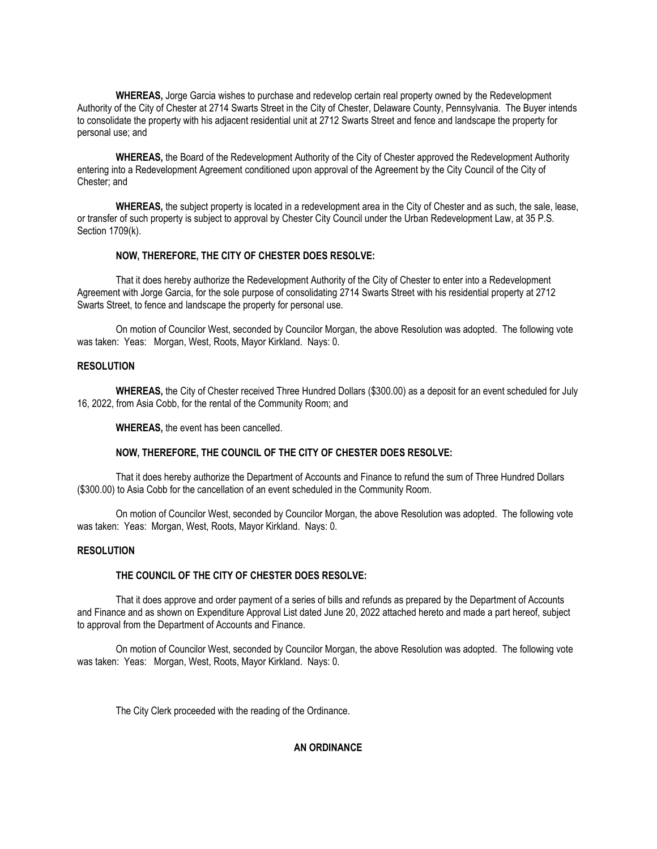**WHEREAS,** Jorge Garcia wishes to purchase and redevelop certain real property owned by the Redevelopment Authority of the City of Chester at 2714 Swarts Street in the City of Chester, Delaware County, Pennsylvania. The Buyer intends to consolidate the property with his adjacent residential unit at 2712 Swarts Street and fence and landscape the property for personal use; and

**WHEREAS,** the Board of the Redevelopment Authority of the City of Chester approved the Redevelopment Authority entering into a Redevelopment Agreement conditioned upon approval of the Agreement by the City Council of the City of Chester; and

**WHEREAS,** the subject property is located in a redevelopment area in the City of Chester and as such, the sale, lease, or transfer of such property is subject to approval by Chester City Council under the Urban Redevelopment Law, at 35 P.S. Section 1709(k).

### **NOW, THEREFORE, THE CITY OF CHESTER DOES RESOLVE:**

That it does hereby authorize the Redevelopment Authority of the City of Chester to enter into a Redevelopment Agreement with Jorge Garcia, for the sole purpose of consolidating 2714 Swarts Street with his residential property at 2712 Swarts Street, to fence and landscape the property for personal use.

On motion of Councilor West, seconded by Councilor Morgan, the above Resolution was adopted. The following vote was taken: Yeas: Morgan, West, Roots, Mayor Kirkland. Nays: 0.

### **RESOLUTION**

**WHEREAS,** the City of Chester received Three Hundred Dollars (\$300.00) as a deposit for an event scheduled for July 16, 2022, from Asia Cobb, for the rental of the Community Room; and

**WHEREAS,** the event has been cancelled.

#### **NOW, THEREFORE, THE COUNCIL OF THE CITY OF CHESTER DOES RESOLVE:**

That it does hereby authorize the Department of Accounts and Finance to refund the sum of Three Hundred Dollars (\$300.00) to Asia Cobb for the cancellation of an event scheduled in the Community Room.

On motion of Councilor West, seconded by Councilor Morgan, the above Resolution was adopted. The following vote was taken: Yeas: Morgan, West, Roots, Mayor Kirkland. Nays: 0.

#### **RESOLUTION**

#### **THE COUNCIL OF THE CITY OF CHESTER DOES RESOLVE:**

That it does approve and order payment of a series of bills and refunds as prepared by the Department of Accounts and Finance and as shown on Expenditure Approval List dated June 20, 2022 attached hereto and made a part hereof, subject to approval from the Department of Accounts and Finance.

On motion of Councilor West, seconded by Councilor Morgan, the above Resolution was adopted. The following vote was taken: Yeas: Morgan, West, Roots, Mayor Kirkland. Nays: 0.

The City Clerk proceeded with the reading of the Ordinance.

### **AN ORDINANCE**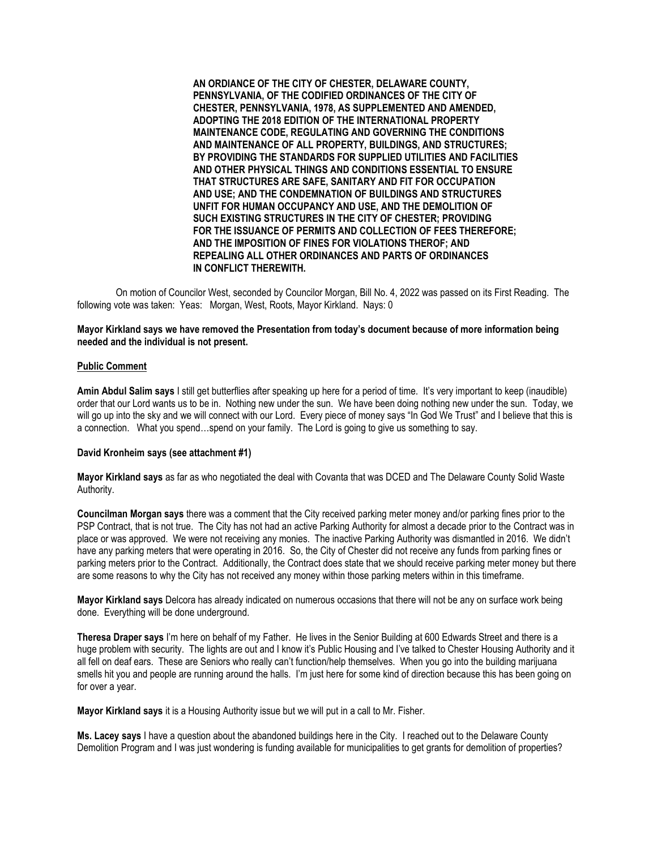**AN ORDIANCE OF THE CITY OF CHESTER, DELAWARE COUNTY, PENNSYLVANIA, OF THE CODIFIED ORDINANCES OF THE CITY OF CHESTER, PENNSYLVANIA, 1978, AS SUPPLEMENTED AND AMENDED, ADOPTING THE 2018 EDITION OF THE INTERNATIONAL PROPERTY MAINTENANCE CODE, REGULATING AND GOVERNING THE CONDITIONS AND MAINTENANCE OF ALL PROPERTY, BUILDINGS, AND STRUCTURES; BY PROVIDING THE STANDARDS FOR SUPPLIED UTILITIES AND FACILITIES AND OTHER PHYSICAL THINGS AND CONDITIONS ESSENTIAL TO ENSURE THAT STRUCTURES ARE SAFE, SANITARY AND FIT FOR OCCUPATION AND USE; AND THE CONDEMNATION OF BUILDINGS AND STRUCTURES UNFIT FOR HUMAN OCCUPANCY AND USE, AND THE DEMOLITION OF SUCH EXISTING STRUCTURES IN THE CITY OF CHESTER; PROVIDING FOR THE ISSUANCE OF PERMITS AND COLLECTION OF FEES THEREFORE; AND THE IMPOSITION OF FINES FOR VIOLATIONS THEROF; AND REPEALING ALL OTHER ORDINANCES AND PARTS OF ORDINANCES IN CONFLICT THEREWITH.**

On motion of Councilor West, seconded by Councilor Morgan, Bill No. 4, 2022 was passed on its First Reading. The following vote was taken: Yeas: Morgan, West, Roots, Mayor Kirkland. Nays: 0

### **Mayor Kirkland says we have removed the Presentation from today's document because of more information being needed and the individual is not present.**

#### **Public Comment**

**Amin Abdul Salim says** I still get butterflies after speaking up here for a period of time. It's very important to keep (inaudible) order that our Lord wants us to be in. Nothing new under the sun. We have been doing nothing new under the sun. Today, we will go up into the sky and we will connect with our Lord. Every piece of money says "In God We Trust" and I believe that this is a connection. What you spend…spend on your family. The Lord is going to give us something to say.

#### **David Kronheim says (see attachment #1)**

**Mayor Kirkland says** as far as who negotiated the deal with Covanta that was DCED and The Delaware County Solid Waste Authority.

**Councilman Morgan says** there was a comment that the City received parking meter money and/or parking fines prior to the PSP Contract, that is not true. The City has not had an active Parking Authority for almost a decade prior to the Contract was in place or was approved. We were not receiving any monies. The inactive Parking Authority was dismantled in 2016. We didn't have any parking meters that were operating in 2016. So, the City of Chester did not receive any funds from parking fines or parking meters prior to the Contract. Additionally, the Contract does state that we should receive parking meter money but there are some reasons to why the City has not received any money within those parking meters within in this timeframe.

**Mayor Kirkland says** Delcora has already indicated on numerous occasions that there will not be any on surface work being done. Everything will be done underground.

**Theresa Draper says** I'm here on behalf of my Father. He lives in the Senior Building at 600 Edwards Street and there is a huge problem with security. The lights are out and I know it's Public Housing and I've talked to Chester Housing Authority and it all fell on deaf ears. These are Seniors who really can't function/help themselves. When you go into the building marijuana smells hit you and people are running around the halls. I'm just here for some kind of direction because this has been going on for over a year.

**Mayor Kirkland says** it is a Housing Authority issue but we will put in a call to Mr. Fisher.

**Ms. Lacey says** I have a question about the abandoned buildings here in the City. I reached out to the Delaware County Demolition Program and I was just wondering is funding available for municipalities to get grants for demolition of properties?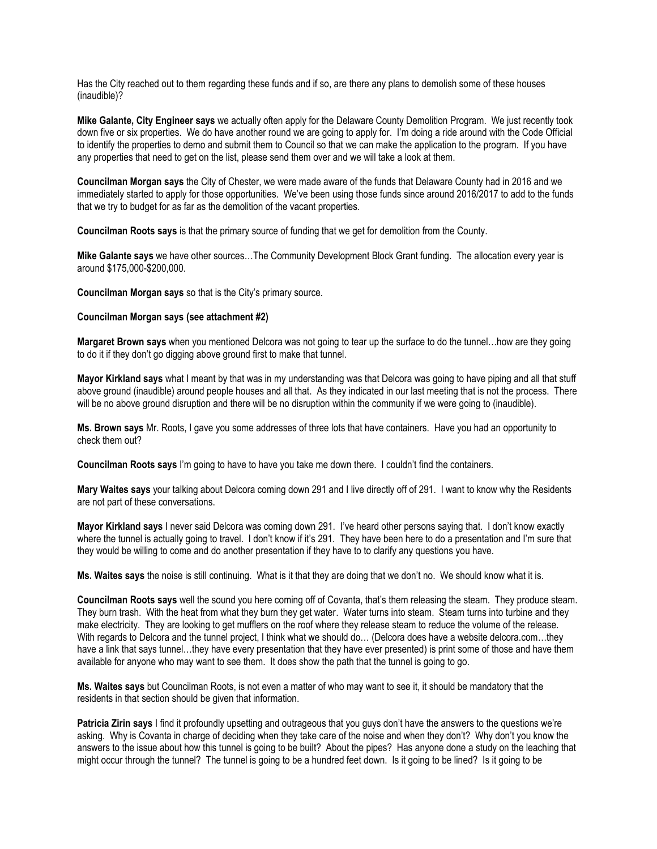Has the City reached out to them regarding these funds and if so, are there any plans to demolish some of these houses (inaudible)?

**Mike Galante, City Engineer says** we actually often apply for the Delaware County Demolition Program. We just recently took down five or six properties. We do have another round we are going to apply for. I'm doing a ride around with the Code Official to identify the properties to demo and submit them to Council so that we can make the application to the program. If you have any properties that need to get on the list, please send them over and we will take a look at them.

**Councilman Morgan says** the City of Chester, we were made aware of the funds that Delaware County had in 2016 and we immediately started to apply for those opportunities. We've been using those funds since around 2016/2017 to add to the funds that we try to budget for as far as the demolition of the vacant properties.

**Councilman Roots says** is that the primary source of funding that we get for demolition from the County.

**Mike Galante says** we have other sources…The Community Development Block Grant funding. The allocation every year is around \$175,000-\$200,000.

**Councilman Morgan says** so that is the City's primary source.

### **Councilman Morgan says (see attachment #2)**

**Margaret Brown says** when you mentioned Delcora was not going to tear up the surface to do the tunnel…how are they going to do it if they don't go digging above ground first to make that tunnel.

**Mayor Kirkland says** what I meant by that was in my understanding was that Delcora was going to have piping and all that stuff above ground (inaudible) around people houses and all that. As they indicated in our last meeting that is not the process. There will be no above ground disruption and there will be no disruption within the community if we were going to (inaudible).

**Ms. Brown says** Mr. Roots, I gave you some addresses of three lots that have containers. Have you had an opportunity to check them out?

**Councilman Roots says** I'm going to have to have you take me down there. I couldn't find the containers.

**Mary Waites says** your talking about Delcora coming down 291 and I live directly off of 291. I want to know why the Residents are not part of these conversations.

**Mayor Kirkland says** I never said Delcora was coming down 291. I've heard other persons saying that. I don't know exactly where the tunnel is actually going to travel. I don't know if it's 291. They have been here to do a presentation and I'm sure that they would be willing to come and do another presentation if they have to to clarify any questions you have.

**Ms. Waites says** the noise is still continuing. What is it that they are doing that we don't no. We should know what it is.

**Councilman Roots says** well the sound you here coming off of Covanta, that's them releasing the steam. They produce steam. They burn trash. With the heat from what they burn they get water. Water turns into steam. Steam turns into turbine and they make electricity. They are looking to get mufflers on the roof where they release steam to reduce the volume of the release. With regards to Delcora and the tunnel project, I think what we should do... (Delcora does have a website delcora.com...they have a link that says tunnel…they have every presentation that they have ever presented) is print some of those and have them available for anyone who may want to see them. It does show the path that the tunnel is going to go.

**Ms. Waites says** but Councilman Roots, is not even a matter of who may want to see it, it should be mandatory that the residents in that section should be given that information.

**Patricia Zirin says** I find it profoundly upsetting and outrageous that you guys don't have the answers to the questions we're asking. Why is Covanta in charge of deciding when they take care of the noise and when they don't? Why don't you know the answers to the issue about how this tunnel is going to be built? About the pipes? Has anyone done a study on the leaching that might occur through the tunnel? The tunnel is going to be a hundred feet down. Is it going to be lined? Is it going to be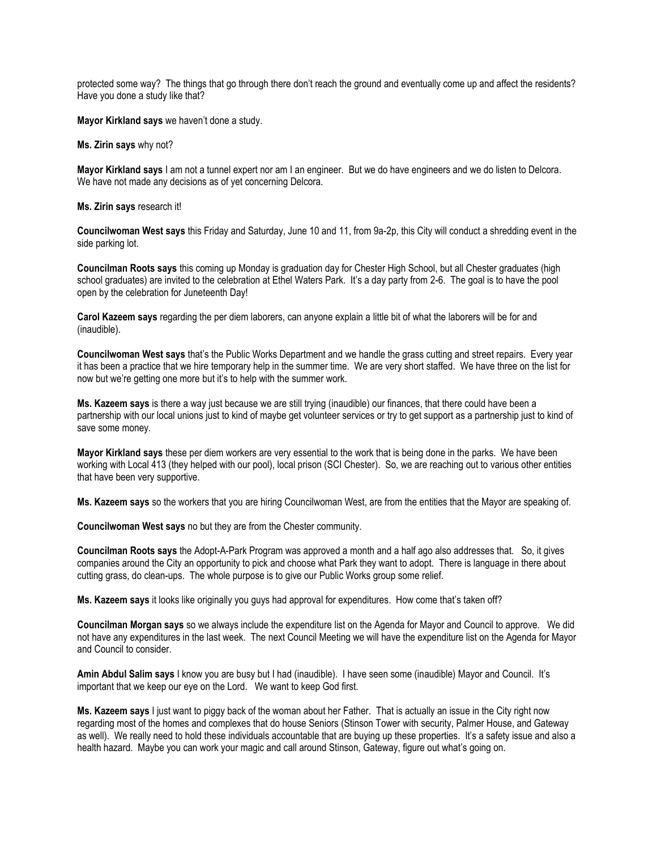protected some way? The things that go through there don't reach the ground and eventually come up and affect the residents? Have you done a study like that?

**Mayor Kirkland says** we haven't done a study.

**Ms. Zirin says** why not?

**Mayor Kirkland says** I am not a tunnel expert nor am I an engineer. But we do have engineers and we do listen to Delcora. We have not made any decisions as of yet concerning Delcora.

**Ms. Zirin says** research it!

**Councilwoman West says** this Friday and Saturday, June 10 and 11, from 9a-2p, this City will conduct a shredding event in the side parking lot.

**Councilman Roots says** this coming up Monday is graduation day for Chester High School, but all Chester graduates (high school graduates) are invited to the celebration at Ethel Waters Park. It's a day party from 2-6. The goal is to have the pool open by the celebration for Juneteenth Day!

**Carol Kazeem says** regarding the per diem laborers, can anyone explain a little bit of what the laborers will be for and (inaudible).

**Councilwoman West says** that's the Public Works Department and we handle the grass cutting and street repairs. Every year it has been a practice that we hire temporary help in the summer time. We are very short staffed. We have three on the list for now but we're getting one more but it's to help with the summer work.

**Ms. Kazeem says** is there a way just because we are still trying (inaudible) our finances, that there could have been a partnership with our local unions just to kind of maybe get volunteer services or try to get support as a partnership just to kind of save some money.

**Mayor Kirkland says** these per diem workers are very essential to the work that is being done in the parks. We have been working with Local 413 (they helped with our pool), local prison (SCI Chester). So, we are reaching out to various other entities that have been very supportive.

**Ms. Kazeem says** so the workers that you are hiring Councilwoman West, are from the entities that the Mayor are speaking of.

**Councilwoman West says** no but they are from the Chester community.

**Councilman Roots says** the Adopt-A-Park Program was approved a month and a half ago also addresses that. So, it gives companies around the City an opportunity to pick and choose what Park they want to adopt. There is language in there about cutting grass, do clean-ups. The whole purpose is to give our Public Works group some relief.

**Ms. Kazeem says** it looks like originally you guys had approval for expenditures. How come that's taken off?

**Councilman Morgan says** so we always include the expenditure list on the Agenda for Mayor and Council to approve. We did not have any expenditures in the last week. The next Council Meeting we will have the expenditure list on the Agenda for Mayor and Council to consider.

**Amin Abdul Salim says** I know you are busy but I had (inaudible). I have seen some (inaudible) Mayor and Council. It's important that we keep our eye on the Lord. We want to keep God first.

**Ms. Kazeem says** I just want to piggy back of the woman about her Father. That is actually an issue in the City right now regarding most of the homes and complexes that do house Seniors (Stinson Tower with security, Palmer House, and Gateway as well). We really need to hold these individuals accountable that are buying up these properties. It's a safety issue and also a health hazard. Maybe you can work your magic and call around Stinson, Gateway, figure out what's going on.